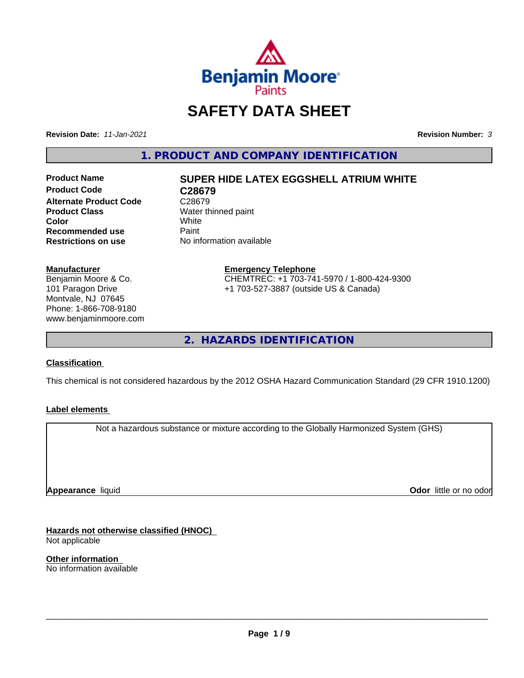

# **SAFETY DATA SHEET**

**Revision Date:** *11-Jan-2021* **Revision Number:** *3*

**1. PRODUCT AND COMPANY IDENTIFICATION**

**Product Name SUPER HIDE LATEX EGGSHELL ATRIUM WHITE Product Code C28679 Alternate Product Code** C28679<br>**Product Class** Water th **Color** White White **Recommended use** Paint<br> **Restrictions on use** No inf

**Water thinned paint**<br>White **No information available** 

#### **Manufacturer**

Benjamin Moore & Co. 101 Paragon Drive Montvale, NJ 07645 Phone: 1-866-708-9180 www.benjaminmoore.com

#### **Emergency Telephone** CHEMTREC: +1 703-741-5970 / 1-800-424-9300 +1 703-527-3887 (outside US & Canada)

**2. HAZARDS IDENTIFICATION**

#### **Classification**

This chemical is not considered hazardous by the 2012 OSHA Hazard Communication Standard (29 CFR 1910.1200)

#### **Label elements**

Not a hazardous substance or mixture according to the Globally Harmonized System (GHS)

**Appearance** liquid

**Odor** little or no odor

**Hazards not otherwise classified (HNOC)** Not applicable

**Other information** No information available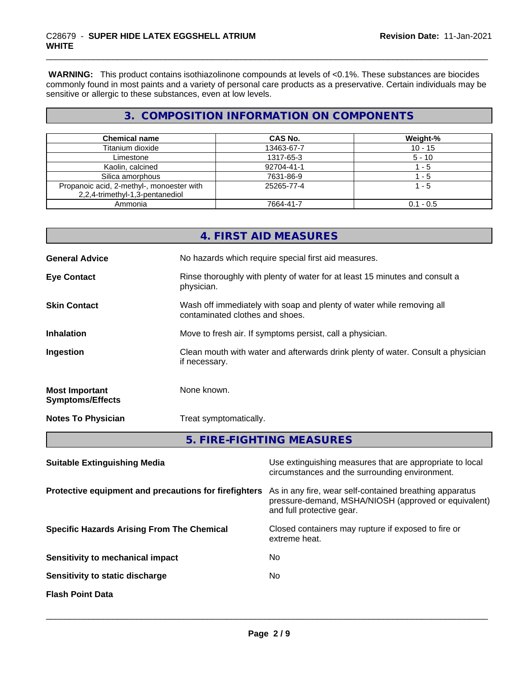**WARNING:** This product contains isothiazolinone compounds at levels of <0.1%. These substances are biocides commonly found in most paints and a variety of personal care products as a preservative. Certain individuals may be sensitive or allergic to these substances, even at low levels.

### **3. COMPOSITION INFORMATION ON COMPONENTS**

| <b>Chemical name</b>                      | <b>CAS No.</b> | Weight-%    |
|-------------------------------------------|----------------|-------------|
| Titanium dioxide                          | 13463-67-7     | $10 - 15$   |
| Limestone                                 | 1317-65-3      | $5 - 10$    |
| Kaolin, calcined                          | 92704-41-1     | - 5         |
| Silica amorphous                          | 7631-86-9      | - 5         |
| Propanoic acid, 2-methyl-, monoester with | 25265-77-4     | 1 - 5       |
| 2,2,4-trimethyl-1,3-pentanediol           |                |             |
| Ammonia                                   | 7664-41-7      | $0.1 - 0.5$ |

|                                                  | 4. FIRST AID MEASURES                                                                                    |
|--------------------------------------------------|----------------------------------------------------------------------------------------------------------|
| <b>General Advice</b>                            | No hazards which require special first aid measures.                                                     |
| <b>Eye Contact</b>                               | Rinse thoroughly with plenty of water for at least 15 minutes and consult a<br>physician.                |
| <b>Skin Contact</b>                              | Wash off immediately with soap and plenty of water while removing all<br>contaminated clothes and shoes. |
| <b>Inhalation</b>                                | Move to fresh air. If symptoms persist, call a physician.                                                |
| Ingestion                                        | Clean mouth with water and afterwards drink plenty of water. Consult a physician<br>if necessary.        |
| <b>Most Important</b><br><b>Symptoms/Effects</b> | None known.                                                                                              |
| <b>Notes To Physician</b>                        | Treat symptomatically.                                                                                   |
|                                                  | 5. FIRE-FIGHTING MEASURES                                                                                |

| Use extinguishing measures that are appropriate to local<br>circumstances and the surrounding environment.                                   |
|----------------------------------------------------------------------------------------------------------------------------------------------|
| As in any fire, wear self-contained breathing apparatus<br>pressure-demand, MSHA/NIOSH (approved or equivalent)<br>and full protective gear. |
| Closed containers may rupture if exposed to fire or<br>extreme heat.                                                                         |
| No                                                                                                                                           |
| No                                                                                                                                           |
|                                                                                                                                              |
|                                                                                                                                              |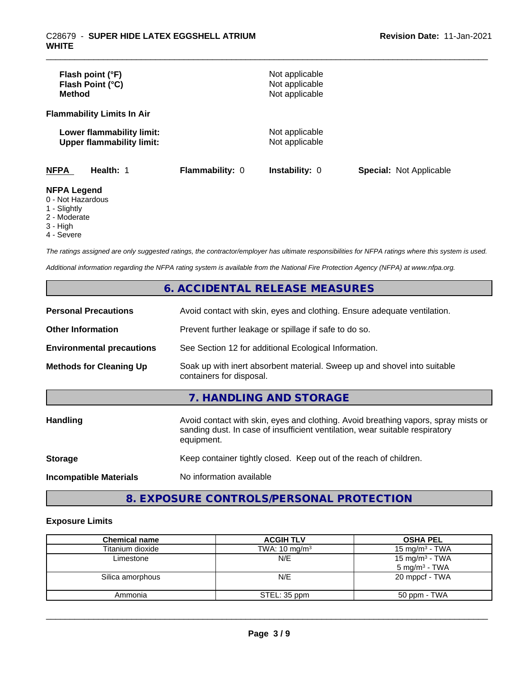| Flash point (°F)<br>Flash Point (°C)<br><b>Method</b>                  |                        | Not applicable<br>Not applicable<br>Not applicable |                                |
|------------------------------------------------------------------------|------------------------|----------------------------------------------------|--------------------------------|
| <b>Flammability Limits In Air</b>                                      |                        |                                                    |                                |
| Lower flammability limit:<br><b>Upper flammability limit:</b>          |                        | Not applicable<br>Not applicable                   |                                |
| <b>NFPA</b><br>Health: 1                                               | <b>Flammability: 0</b> | <b>Instability: 0</b>                              | <b>Special: Not Applicable</b> |
| <b>NFPA Legend</b><br>0 - Not Hazardous<br>$\sim$ $\sim$ $\sim$ $\sim$ |                        |                                                    |                                |

- 1 Slightly
- 2 Moderate
- 3 High
- 4 Severe

*The ratings assigned are only suggested ratings, the contractor/employer has ultimate responsibilities for NFPA ratings where this system is used.*

*Additional information regarding the NFPA rating system is available from the National Fire Protection Agency (NFPA) at www.nfpa.org.*

### **6. ACCIDENTAL RELEASE MEASURES**

| <b>Personal Precautions</b>      | Avoid contact with skin, eyes and clothing. Ensure adequate ventilation.                                                                                                         |
|----------------------------------|----------------------------------------------------------------------------------------------------------------------------------------------------------------------------------|
| <b>Other Information</b>         | Prevent further leakage or spillage if safe to do so.                                                                                                                            |
| <b>Environmental precautions</b> | See Section 12 for additional Ecological Information.                                                                                                                            |
| <b>Methods for Cleaning Up</b>   | Soak up with inert absorbent material. Sweep up and shovel into suitable<br>containers for disposal.                                                                             |
|                                  | 7. HANDLING AND STORAGE                                                                                                                                                          |
| Handling                         | Avoid contact with skin, eyes and clothing. Avoid breathing vapors, spray mists or<br>sanding dust. In case of insufficient ventilation, wear suitable respiratory<br>equipment. |
| <b>Storage</b>                   | Keep container tightly closed. Keep out of the reach of children.                                                                                                                |
| <b>Incompatible Materials</b>    | No information available                                                                                                                                                         |

### **8. EXPOSURE CONTROLS/PERSONAL PROTECTION**

#### **Exposure Limits**

| <b>Chemical name</b> | <b>ACGIH TLV</b>         | <b>OSHA PEL</b>                               |
|----------------------|--------------------------|-----------------------------------------------|
| Titanium dioxide     | TWA: $10 \text{ mg/m}^3$ | 15 mg/m $3$ - TWA                             |
| Limestone            | N/E                      | 15 mg/m $3$ - TWA<br>$5 \text{ mg/m}^3$ - TWA |
| Silica amorphous     | N/E                      | 20 mppcf - TWA                                |
| Ammonia              | STEL: 35 ppm             | 50 ppm - TWA                                  |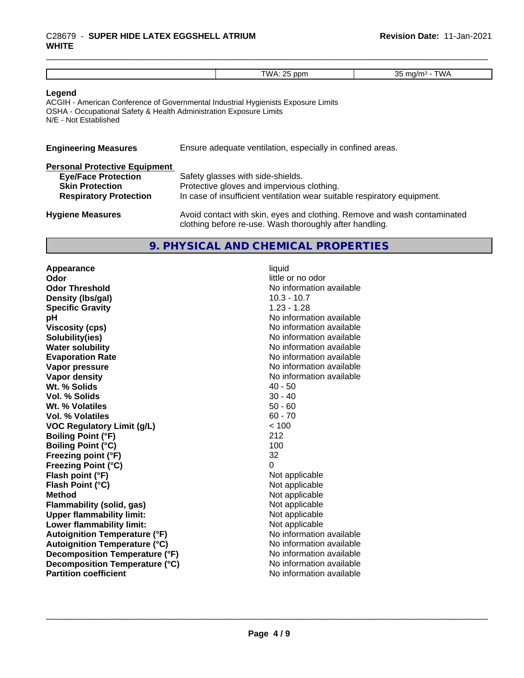## \_\_\_\_\_\_\_\_\_\_\_\_\_\_\_\_\_\_\_\_\_\_\_\_\_\_\_\_\_\_\_\_\_\_\_\_\_\_\_\_\_\_\_\_\_\_\_\_\_\_\_\_\_\_\_\_\_\_\_\_\_\_\_\_\_\_\_\_\_\_\_\_\_\_\_\_\_\_\_\_\_\_\_\_\_\_\_\_\_\_\_\_\_ C28679 - **SUPER HIDE LATEX EGGSHELL ATRIUM WHITE**

| $\mathbf{v}$<br>nn |
|--------------------|

#### **Legend**

ACGIH - American Conference of Governmental Industrial Hygienists Exposure Limits OSHA - Occupational Safety & Health Administration Exposure Limits N/E - Not Established

| <b>Engineering Measures</b> | Ensure adequate ventilation, especially in confined areas. |
|-----------------------------|------------------------------------------------------------|
|                             |                                                            |

|  |  | <b>Personal Protective Equipment</b> |  |  |  |
|--|--|--------------------------------------|--|--|--|
|  |  |                                      |  |  |  |

| <b>Eye/Face Protection</b>    | Safety glasses with side-shields.                                                                                                   |
|-------------------------------|-------------------------------------------------------------------------------------------------------------------------------------|
| <b>Skin Protection</b>        | Protective gloves and impervious clothing.                                                                                          |
| <b>Respiratory Protection</b> | In case of insufficient ventilation wear suitable respiratory equipment.                                                            |
| <b>Hygiene Measures</b>       | Avoid contact with skin, eyes and clothing. Remove and wash contaminated<br>clothing before re-use. Wash thoroughly after handling. |

### **9. PHYSICAL AND CHEMICAL PROPERTIES**

**Appearance** liquid **Odor** little or no odor **Odor Threshold No information available No information available Density (lbs/gal)** 10.3 - 10.7 **Specific Gravity** 1.23 - 1.28 **pH pH**  $\blacksquare$ **Viscosity (cps)** No information available **Solubility(ies)** No information available **Water solubility Water solubility Water solubility Water solubility Water solubility Water solution Evaporation Rate No information available No information available Vapor pressure** No information available **Vapor density Vapor** density **Wt. % Solids** 40 - 50 **Vol. % Solids** 30 - 40 **Wt. % Volatiles Vol. % Volatiles** 60 - 70 **VOC Regulatory Limit (g/L)** < 100 **Boiling Point (°F)** 212 **Boiling Point (°C)** 100 **Freezing point (°F)** 32 **Freezing Point (°C)**<br> **Flash point (°F)**<br> **Flash point (°F)**<br> **Point (°F)**<br> **Point (°F)**<br> **Point District (°F)**<br> **Point District (°F) Flash point (°F)**<br> **Flash Point (°C)**<br> **Flash Point (°C)**<br> **C Flash Point (°C) Method**<br> **Flammability (solid, gas)**<br> **Example 2018** Not applicable **Flammability (solid, gas)** Not applicable<br> **Upper flammability limit:** Not applicable **Upper flammability limit: Lower flammability limit:** Not applicable **Autoignition Temperature (°F)** No information available **Autoignition Temperature (°C)** No information available **Decomposition Temperature (°F)** No information available **Decomposition Temperature (°C)** No information available **Partition coefficient** No information available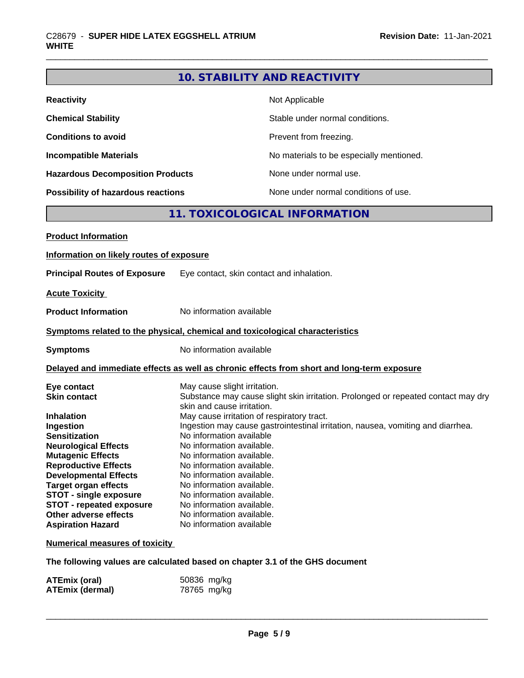### **10. STABILITY AND REACTIVITY**

| <b>Reactivity</b>                       | Not Applicable                           |
|-----------------------------------------|------------------------------------------|
| <b>Chemical Stability</b>               | Stable under normal conditions.          |
| <b>Conditions to avoid</b>              | Prevent from freezing.                   |
| <b>Incompatible Materials</b>           | No materials to be especially mentioned. |
| <b>Hazardous Decomposition Products</b> | None under normal use.                   |
| Possibility of hazardous reactions      | None under normal conditions of use.     |

### **11. TOXICOLOGICAL INFORMATION**

| <b>Product Information</b>               |                                                                                                                               |
|------------------------------------------|-------------------------------------------------------------------------------------------------------------------------------|
| Information on likely routes of exposure |                                                                                                                               |
| <b>Principal Routes of Exposure</b>      | Eye contact, skin contact and inhalation.                                                                                     |
| <b>Acute Toxicity</b>                    |                                                                                                                               |
| <b>Product Information</b>               | No information available                                                                                                      |
|                                          | Symptoms related to the physical, chemical and toxicological characteristics                                                  |
| <b>Symptoms</b>                          | No information available                                                                                                      |
|                                          | Delayed and immediate effects as well as chronic effects from short and long-term exposure                                    |
| Eye contact                              | May cause slight irritation.                                                                                                  |
| <b>Skin contact</b>                      | Substance may cause slight skin irritation. Prolonged or repeated contact may dry                                             |
|                                          | skin and cause irritation.                                                                                                    |
| <b>Inhalation</b>                        | May cause irritation of respiratory tract.<br>Ingestion may cause gastrointestinal irritation, nausea, vomiting and diarrhea. |
| Ingestion<br><b>Sensitization</b>        | No information available                                                                                                      |
| <b>Neurological Effects</b>              | No information available.                                                                                                     |
| <b>Mutagenic Effects</b>                 | No information available.                                                                                                     |
| <b>Reproductive Effects</b>              | No information available.                                                                                                     |
| <b>Developmental Effects</b>             | No information available.                                                                                                     |
| <b>Target organ effects</b>              | No information available.                                                                                                     |
| <b>STOT - single exposure</b>            | No information available.                                                                                                     |
| <b>STOT - repeated exposure</b>          | No information available.                                                                                                     |
| Other adverse effects                    | No information available.                                                                                                     |
| <b>Aspiration Hazard</b>                 | No information available                                                                                                      |
| <b>Numerical measures of toxicity</b>    |                                                                                                                               |

**The following values are calculated based on chapter 3.1 of the GHS document**

| <b>ATEmix (oral)</b>   | 50836 mg/kg |
|------------------------|-------------|
| <b>ATEmix (dermal)</b> | 78765 mg/kg |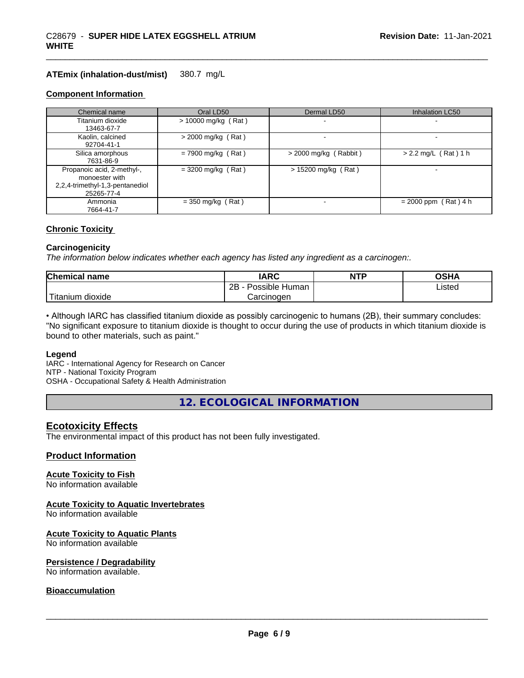#### **ATEmix (inhalation-dust/mist)** 380.7 mg/L

#### **Component Information**

| Chemical name                                                                                 | Oral LD50             | Dermal LD50             | Inhalation LC50        |
|-----------------------------------------------------------------------------------------------|-----------------------|-------------------------|------------------------|
| Titanium dioxide<br>13463-67-7                                                                | $> 10000$ mg/kg (Rat) |                         |                        |
| Kaolin, calcined<br>92704-41-1                                                                | $>$ 2000 mg/kg (Rat)  |                         |                        |
| Silica amorphous<br>7631-86-9                                                                 | $= 7900$ mg/kg (Rat)  | $>$ 2000 mg/kg (Rabbit) | $> 2.2$ mg/L (Rat) 1 h |
| Propanoic acid, 2-methyl-,<br>monoester with<br>2,2,4-trimethyl-1,3-pentanediol<br>25265-77-4 | $=$ 3200 mg/kg (Rat)  | $> 15200$ mg/kg (Rat)   | -                      |
| Ammonia<br>7664-41-7                                                                          | $=$ 350 mg/kg (Rat)   |                         | $= 2000$ ppm (Rat) 4 h |

#### **Chronic Toxicity**

#### **Carcinogenicity**

*The information below indicateswhether each agency has listed any ingredient as a carcinogen:.*

| <b>Chemical</b><br>name         | <b>IARC</b>                    | <b>NTP</b> | ດເ⊔າ<br>שרט    |
|---------------------------------|--------------------------------|------------|----------------|
|                                 | . .<br>2B<br>Possible<br>Human |            | Listed<br>____ |
| <br>. dioxide<br><b>itanium</b> | Carcinogen                     |            |                |

• Although IARC has classified titanium dioxide as possibly carcinogenic to humans (2B), their summary concludes: "No significant exposure to titanium dioxide is thought to occur during the use of products in which titanium dioxide is bound to other materials, such as paint."

#### **Legend**

IARC - International Agency for Research on Cancer NTP - National Toxicity Program OSHA - Occupational Safety & Health Administration

**12. ECOLOGICAL INFORMATION**

#### **Ecotoxicity Effects**

The environmental impact of this product has not been fully investigated.

#### **Product Information**

#### **Acute Toxicity to Fish**

No information available

#### **Acute Toxicity to Aquatic Invertebrates**

No information available

#### **Acute Toxicity to Aquatic Plants**

No information available

#### **Persistence / Degradability**

No information available.

#### **Bioaccumulation**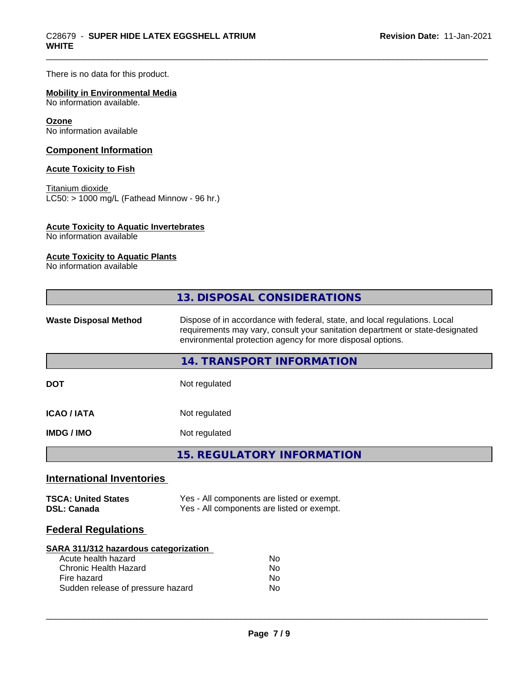There is no data for this product.

#### **Mobility in Environmental Media**

No information available.

#### **Ozone**

No information available

#### **Component Information**

#### **Acute Toxicity to Fish**

Titanium dioxide  $\overline{\text{LC50:}}$  > 1000 mg/L (Fathead Minnow - 96 hr.)

#### **Acute Toxicity to Aquatic Invertebrates**

No information available

#### **Acute Toxicity to Aquatic Plants**

No information available

| 13. DISPOSAL CONSIDERATIONS                                                                                                                                                                                                                               |  |
|-----------------------------------------------------------------------------------------------------------------------------------------------------------------------------------------------------------------------------------------------------------|--|
| Dispose of in accordance with federal, state, and local regulations. Local<br><b>Waste Disposal Method</b><br>requirements may vary, consult your sanitation department or state-designated<br>environmental protection agency for more disposal options. |  |
| 14. TRANSPORT INFORMATION                                                                                                                                                                                                                                 |  |
| <b>DOT</b><br>Not regulated                                                                                                                                                                                                                               |  |
| <b>ICAO/IATA</b><br>Not regulated                                                                                                                                                                                                                         |  |
| Not regulated<br><b>IMDG/IMO</b>                                                                                                                                                                                                                          |  |
| <b>15. REGULATORY INFORMATION</b>                                                                                                                                                                                                                         |  |
| <b>International Inventories</b>                                                                                                                                                                                                                          |  |
| <b>TSCA: United States</b><br>Yes - All components are listed or exempt.<br>Yes - All components are listed or exempt.<br><b>DSL: Canada</b>                                                                                                              |  |
| <b>Federal Regulations</b>                                                                                                                                                                                                                                |  |
| SARA 311/312 hazardous categorization<br>Acute health hazard<br>No<br><b>Chronic Health Hazard</b><br>No.<br>Fire hazard<br>No.                                                                                                                           |  |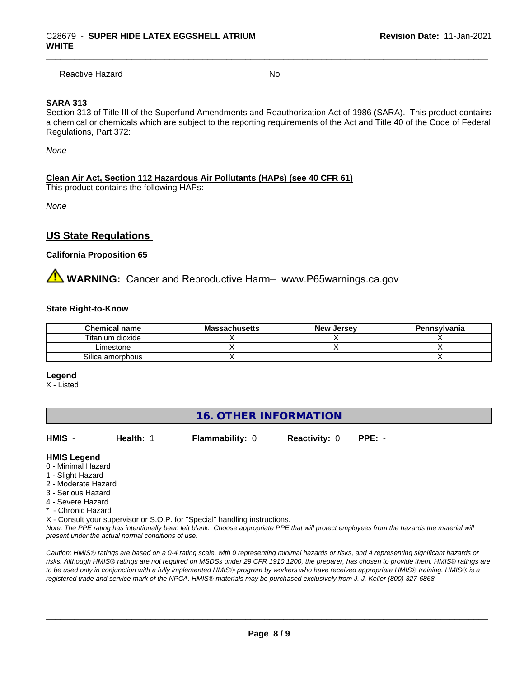Reactive Hazard No. No. 2014

#### **SARA 313**

Section 313 of Title III of the Superfund Amendments and Reauthorization Act of 1986 (SARA). This product contains a chemical or chemicals which are subject to the reporting requirements of the Act and Title 40 of the Code of Federal Regulations, Part 372:

*None*

#### **Clean Air Act,Section 112 Hazardous Air Pollutants (HAPs) (see 40 CFR 61)**

This product contains the following HAPs:

*None*

### **US State Regulations**

#### **California Proposition 65**

**WARNING:** Cancer and Reproductive Harm– www.P65warnings.ca.gov

#### **State Right-to-Know**

| <b>Chemical name</b> | <b>Massachusetts</b> | <b>New Jersey</b> | Pennsylvania |
|----------------------|----------------------|-------------------|--------------|
| Titanium dioxide     |                      |                   |              |
| _imestone            |                      |                   |              |
| Silica amorphous     |                      |                   |              |

**Legend**

X - Listed

### **16. OTHER INFORMATION**

**HMIS** - **Health:** 1 **Flammability:** 0 **Reactivity:** 0 **PPE:** -

 $\overline{\phantom{a}}$  ,  $\overline{\phantom{a}}$  ,  $\overline{\phantom{a}}$  ,  $\overline{\phantom{a}}$  ,  $\overline{\phantom{a}}$  ,  $\overline{\phantom{a}}$  ,  $\overline{\phantom{a}}$  ,  $\overline{\phantom{a}}$  ,  $\overline{\phantom{a}}$  ,  $\overline{\phantom{a}}$  ,  $\overline{\phantom{a}}$  ,  $\overline{\phantom{a}}$  ,  $\overline{\phantom{a}}$  ,  $\overline{\phantom{a}}$  ,  $\overline{\phantom{a}}$  ,  $\overline{\phantom{a}}$ 

#### **HMIS Legend**

- 0 Minimal Hazard
- 1 Slight Hazard
- 2 Moderate Hazard
- 3 Serious Hazard
- 4 Severe Hazard
- \* Chronic Hazard

X - Consult your supervisor or S.O.P. for "Special" handling instructions.

*Note: The PPE rating has intentionally been left blank. Choose appropriate PPE that will protect employees from the hazards the material will present under the actual normal conditions of use.*

*Caution: HMISÒ ratings are based on a 0-4 rating scale, with 0 representing minimal hazards or risks, and 4 representing significant hazards or risks. Although HMISÒ ratings are not required on MSDSs under 29 CFR 1910.1200, the preparer, has chosen to provide them. HMISÒ ratings are to be used only in conjunction with a fully implemented HMISÒ program by workers who have received appropriate HMISÒ training. HMISÒ is a registered trade and service mark of the NPCA. HMISÒ materials may be purchased exclusively from J. J. Keller (800) 327-6868.*